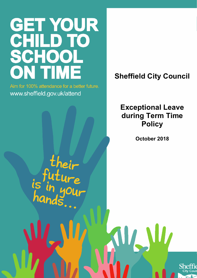# GET YOUR<br>CHILD TO SCHOOL **ON TIME**

Aim for 100% attendance for a better future. www.sheffield.gov.uk/attend

**Sheffield City Council**

# **Exceptional Leave during Term Time Policy**

**October 2018**

WJW

their  $\frac{1}{2}$ 

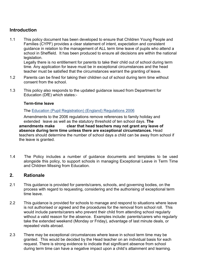#### **Introduction**

1.1 This policy document has been developed to ensure that Children Young People and Families (CYPF) provides a clear statement of intent, expectation and consistent guidance in relation to the management of ALL term time leave of pupils who attend a school in Sheffield. It has been produced to ensure all decisions are within the national legislation.

Legally there is no entitlement for parents to take their child out of school during term time. Any application for leave must be in exceptional circumstances and the head teacher must be satisfied that the circumstances warrant the granting of leave.

- 1.2 Parents can be fined for taking their children out of school during term time without consent from the school.
- 1.3 This policy also responds to the updated guidance issued from Department for Education (DfE) which states:-

#### **Term-time leave**

The [Education \(Pupil Registration\) \(England\) Regulations 2006](http://www.legislation.gov.uk/uksi/2006/1751/contents/made)

Amendments to the 2006 regulations remove references to family holiday and extended leave as well as the statutory threshold of ten school days. **The amendments make clear that head teachers may not grant any leave of absence during term time unless there are exceptional circumstances.** Head teachers should determine the number of school days a child can be away from school if the leave is granted.

1.4 The Policy includes a number of guidance documents and templates to be used alongside this policy, to support schools in managing Exceptional Leave in Term Time and Children Missing from Education.

#### **2. Rationale**

- 2.1 This guidance is provided for parents/carers, schools, and governing bodies, on the process with regard to requesting, considering and the authorising of exceptional term time leave.
- 2.2 This guidance is provided for schools to manage and respond to situations where leave is not authorised or agreed and the procedures for the removal from school roll. This would include parents/carers who prevent their child from attending school regularly without a valid reason for the absence. Examples include: parents/carers who regularly take the extended weekend (Monday or Friday), advantage of last minute deals, or repeated visits abroad.
- 2.3 There may be exceptional circumstances where leave in school term time may be granted. This would be decided by the Head teacher on an individual basis for each request. There is strong evidence to indicate that significant absence from school during term time can have a negative impact upon a child's attainment and learning.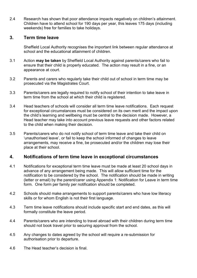2.4 Research has shown that poor attendance impacts negatively on children's attainment. Children have to attend school for 190 days per year, this leaves 175 days (including weekends) free for families to take holidays.

#### **3. Term time leave**

Sheffield Local Authority recognises the important link between regular attendance at school and the educational attainment of children*.* 

- 3.1 Action **may be taken** by Sheffield Local Authority against parents/carers who fail to ensure that their child is properly educated. The action may result in a fine, or an appearance at court.
- 3.2 Parents and carers who regularly take their child out of school in term time may be prosecuted via the Magistrates Court.
- 3.3 Parents/carers are legally required to notify school of their intention to take leave in term time from the school at which their child is registered.
- 3.4 Head teachers of schools will consider all term time leave notifications. Each request for exceptional circumstances must be considered on its own merit and the impact upon the child's learning and wellbeing must be central to the decision made. However, a Head teacher may take into account previous leave requests and other factors related to the child when making their decision.
- 3.5 Parents/carers who do not notify school of term time leave and take their child on 'unauthorised leave', or fail to keep the school informed of changes to leave arrangements, may receive a fine, be prosecuted and/or the children may lose their place at their school.

#### **4. Notifications of term time leave in exceptional circumstances**

- 4.1 Notifications for exceptional term time leave must be made at least 20 school days in advance of any arrangement being made. This will allow sufficient time for the notification to be considered by the school. The notification should be made in writing (letter or email) by the parent/carer using Appendix 1: Notification for Leave in term time form. One form per family per notification should be completed.
- 4.2 Schools should make arrangements to support parents/carers who have low literacy skills or for whom English is not their first language.
- 4.3 Term time leave notifications should include specific start and end dates, as this will formally constitute the leave period.
- 4.4 Parents/carers who are intending to travel abroad with their children during term time should not book travel prior to securing approval from the school.
- 4.5 Any changes to dates agreed by the school will require a re-submission for authorisation prior to departure.
- 4.6 The Head teacher's decision is final.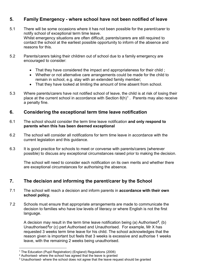#### **5. Family Emergency - where school have not been notified of leave**

- 5.1 There will be some occasions where it has not been possible for the parent/carer to notify school of exceptional term time leave. Whilst emergency situations are often difficult, parents/carers are still required to contact the school at the earliest possible opportunity to inform of the absence and reasons for this.
- 5.2 Parents/carers taking their children out of school due to a family emergency are encouraged to consider:
	- That they have considered the impact and appropriateness for their child ;
	- Whether or not alternative care arrangements could be made for the child to remain in school, e.g. stay with an extended family member;
	- That they have looked at limiting the amount of time absent from school.
- 5.3 Where parents/carers have not notified school of leave, the child is at risk of losing their place at the current school in accordance with Section  $8(h)^1$  $8(h)^1$ . Parents may also receive a penalty fine.

#### **6. Considering the exceptional term time leave notification**

- 6.1 The school should consider the term time leave notification **and only respond to parents when this has been deemed exceptional**
- 6.2 The school will consider all notifications for term time leave in accordance with the current legislation and this guidance.
- 6.3 It is good practice for schools to meet or converse with parents/carers (wherever possible) to discuss any exceptional circumstances raised prior to making the decision.

The school will need to consider each notification on its own merits and whether there are exceptional circumstances for authorising the absence.

#### **7. The decision and informing the parent/carer by the School**

- 7.1 The school will reach a decision and inform parents in **accordance with their own school policy.**
- 7.2 Schools must ensure that appropriate arrangements are made to communicate the decision to families who have low levels of literacy or where English is not the first language.

A decision may result in the term time leave notification being (a) Authorised*[2](#page-3-1)*, (b) Unauthorised*[3](#page-3-2)*or (c) part Authorised and Unauthorised. For example, Mr X has requested 3 weeks term time leave for his child. The school acknowledges that the reason given is important but feels that 3 weeks is excessive and authorise 1 weeks leave, with the remaining 2 weeks being unauthorised.

<span id="page-3-0"></span> <sup>1</sup> The Education (Pupil Registration) (England) Regulations (2006)

<span id="page-3-1"></span><sup>2</sup> Authorised- where the school has agreed that the leave is granted

<span id="page-3-2"></span> $3$  Unauthorised- where the school does not agree that the leave request should be granted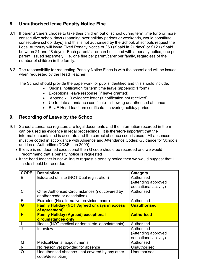### **8. Unauthorised leave Penalty Notice Fine**

- 8.1 If parents/carers choose to take their children out of school during term time for 5 or more consecutive school days (spanning over holiday periods or weekends, would constitute consecutive school days) and this is not authorised by the School, at schools request the Local Authority will issue Fixed Penalty Notice of £60 (if paid in 21 days) or £120 (if paid between 21 and 28 days). Each parent/carer can be issued with a penalty notice, one per parent, issued separately. i.e. one fine per parent/carer per family, regardless of the number of children in the family.
- 8.2 The responsibility for requesting Penalty Notice Fines is with the school and will be issued when requested by the Head Teacher**.**

The School should provide the paperwork for pupils identified and this should include:

- Original notification for term time leave (appendix 1 form)
- Exceptional leave response (if leave granted)
- Appendix 10 evidence letter (if notification not received)
- Up to date attendance certificate showing unauthorised absence
- BLUE Head teachers certificate covering holiday period

#### **9. Recording of Leave by the School**

- 9.1 School attendance registers are legal documents and the information recorded in them can be used as evidence in legal proceedings. It is therefore important that the information contained is accurate and the correct absence code is used. All absences must be coded in accordance with Absence and Attendance Codes: Guidance for Schools and Local Authorities (DCSF, Jan 2009).
	- If leave is not deemed exceptional then G code should be recorded and we would recommend that a penalty notice is requested
	- If the head teacher is not willing to request a penalty notice then we would suggest that H code should be recorded

| <b>CODE</b> | <b>Description</b>                                                             | Category                                     |
|-------------|--------------------------------------------------------------------------------|----------------------------------------------|
| B           | Educated off site (NOT Dual registration)                                      | Authorised<br>(Attending approved            |
|             |                                                                                | educational activity)                        |
| C           | Other Authorised Circumstances (not covered by<br>another code or description) | Authorised                                   |
| Е           | Excluded (No alternative provision made)                                       | Authorised                                   |
| G           | <b>Family Holiday (NOT Agreed or days in excess</b><br>of agreement)           | <b>Unauthorised</b>                          |
| н           | <b>Family Holiday (Agreed) exceptional</b><br>circumstances only               | <b>Authorised</b>                            |
|             | Illness (NOT medical or dental etc. appointments)                              | Authorised                                   |
|             | Interview                                                                      | Authorised                                   |
|             |                                                                                | (Attending approved<br>educational activity) |
| M           | Medical/Dental appointments                                                    | Authorised                                   |
| N           | No reason yet provided for absence                                             | Unauthorised                                 |
| Ω           | Unauthorised absence - not covered by any other<br>code/description)           | Unauthorised                                 |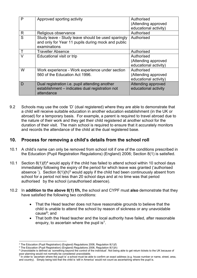| P | Approved sporting activity                                                                                               | Authorised<br>(Attending approved<br>educational activity) |
|---|--------------------------------------------------------------------------------------------------------------------------|------------------------------------------------------------|
| R | Religious observance                                                                                                     | Authorised                                                 |
| S | Study leave - Study leave should be used sparingly<br>and only for Year 11 pupils during mock and public<br>examinations | Authorised                                                 |
|   | <b>Traveller Absence</b>                                                                                                 | Authorised                                                 |
|   | Educational visit or trip                                                                                                | Authorised<br>(Attending approved<br>educational activity) |
| W | Work experience - Work experience under section<br>560 of the Education Act 1996.                                        | Authorised<br>(Attending approved<br>educational activity) |
| D | Dual registration <i>i.e.</i> pupil attending another<br>establishment - indicates dual registration not<br>attendance   | Attending approved<br>educational activity                 |

9.2 Schools may use the code 'D' (dual registered) where they are able to demonstrate that a child will receive suitable education in another education establishment (in the UK or abroad) for a temporary basis. For example, a parent is required to travel abroad due to the nature of their work and they get their child registered at another school for the duration of their visit. The main school is required to ensure that it accurately monitors and records the attendance of the child at the dual registered base.

#### **10. Process for removing a child's details from the school roll**

- 10.1 A child's name can only be removed from school roll if one of the conditions prescribed in the Education (Pupil Registration Regulations) (England) 2006; Section 8(1) is satisfied.
- 10.1 Section  $8(1)(f)^4$  $8(1)(f)^4$  would apply if the child has failed to attend school within 10 school days immediately following the expiry of the period for which leave was granted ('authorised absence '). Section  $8(1)(h)^5$  $8(1)(h)^5$  would apply if the child had been continuously absent from school for a period not less than 20 school days and at no time was that period authorised by the school (unauthorised absence).
- 10.2 In **addition to the above 8(1) f/h,** the school and CYPF must **also** demonstrate that they have satisfied the following two conditions:
	- That the Head teacher does not have reasonable grounds to believe that the child is unable to attend the school by reason of sickness or any unavoidable cause[6](#page-5-2); and
	- That both the Head teacher and the local authority have failed, after reasonable enquiry, to ascertain where the pupil is<sup>[7](#page-5-3)</sup>.

 <sup>4</sup> The Education (Pupil Registration) (England) Regulations 2006, Regulation 8(1)(f)

<span id="page-5-1"></span><span id="page-5-0"></span> $5$  The Education (Pupil Registration) (England) Regulations 2006, Regulation 8(1)(h)

<span id="page-5-2"></span><sup>&</sup>lt;sup>6</sup> Unavoidable is defined as 'something beyond the control of the individual'. Not being able to get return tickets to the UK because of poor planning would not normally be considered unavoidable.

<span id="page-5-3"></span> $^7$  In order to 'ascertain where the pupil is' a school must be able to confirm an exact address (e.g. house number or name, street, area, and country). Simply being told that the child is 'still in America' would not count as ascertaining where the pupil is.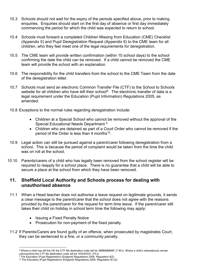- 10.3 Schools should not wait for the expiry of the periods specified above, prior to making enquiries. Enquiries should start on the first day of absence or first day immediately commencing the period for which the child was expected to return to school.
- 10.4 Schools must forward a completed Children Missing from Education (CME) Checklist (Appendix 5) and Pupil Deregistration Request (Appendix 6) to the CME team for all children, who they feel meet one of the legal requirements for deregistration.
- 10.5 The CME team will provide written confirmation (within 10 school days) to the school confirming the date the child can be removed. If a child cannot be removed the CME team will provide the school with an explanation.
- 10.6 The responsibility for the child transfers from the school to the CME Team from the date of the deregistration letter.
- 10.7 Schools must send an electronic Common Transfer File (CTF) to the School to Schools website for all children who have left their school<sup>[8](#page-6-0)</sup>. The electronic transfer of data is a legal requirement under the Education (Pupil Information) Regulations 2005, as amended.
- 10.8 Exceptions to the normal rules regarding deregistration include:
	- Children at a Special School who cannot be removed without the approval of the Special Educational Needs Department [9](#page-6-1)
	- Children who are detained as part of a Court Order who cannot be removed if the period of the Order is less than 4 months<sup>10</sup>.
- 10.9 Legal action can still be pursued against a parent/carer following deregistration from a school. This is because the period of complaint would be taken from the time the child was on roll at the school.
- 10.10 Parents/carers of a child who has legally been removed from the school register will be required to reapply for a school place. There is no guarantee that a child will be able to secure a place at the school from which they have been removed.

#### **11. Sheffield Local Authority and Schools process for dealing with unauthorised absence**

- 11.1 When a Head teacher does not authorise a leave request on legitimate grounds, it sends a clear message to the parent/carer that the school does not agree with the reasons provided by the parent/carer for the request for term time leave. If the parent/carer still takes their child on holiday in school term time the following may apply:
	- Issuing a Fixed Penalty Notice
	- Prosecution for non-payment of the fixed penalty
- 11.2 If Parents/Carers are found guilty of an offence, when prosecuted by magistrates Court, they can be sentenced to a fine, or a community penalty.

<span id="page-6-0"></span><sup>&</sup>lt;sup>8</sup> Where a child has left the UK the CTF file destination code will be 'MMMMMMM' (7 M's). Where a child's whereabouts remain unknown/lost the CTF file destination code will be 'XXXXXXX' (7X's)

<span id="page-6-1"></span><sup>&</sup>lt;sup>9</sup> The Education (Pupil Registration) (England) Regulations 2006, Regulation 8(2)

<span id="page-6-2"></span><sup>&</sup>lt;sup>10</sup> The Education (Pupil Registration) (England) Regulations 2006, Regulation  $8(1)(i)$